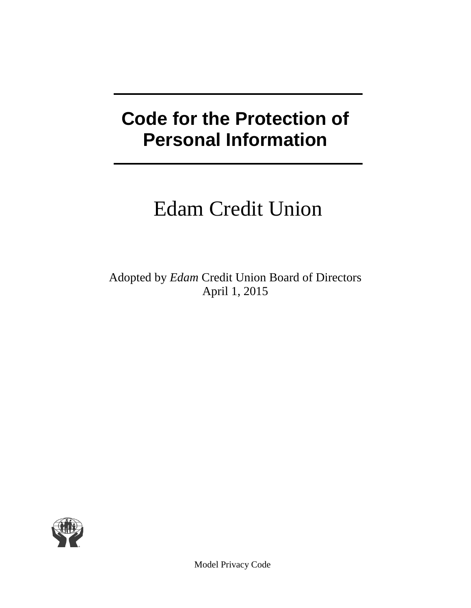# **Code for the Protection of Personal Information**

# Edam Credit Union

Adopted by *Edam* Credit Union Board of Directors April 1, 2015

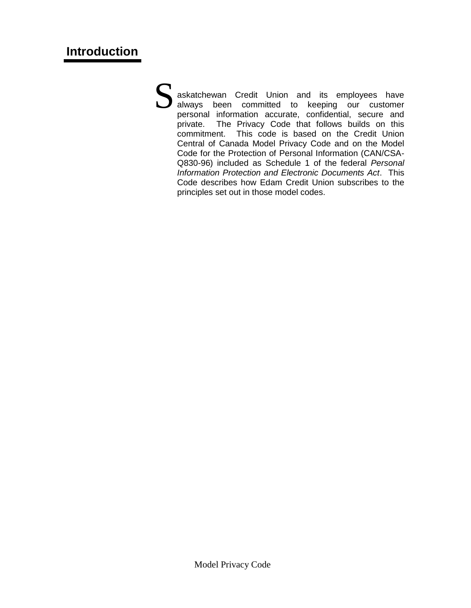askatchewan Credit Union and its employees have always been committed to keeping our customer personal information accurate, confidential, secure and private. The Privacy Code that follows builds on this commitment. This code is based on the Credit Union Central of Canada Model Privacy Code and on the Model Code for the Protection of Personal Information (CAN/CSA-Q830-96) included as Schedule 1 of the federal *Personal Information Protection and Electronic Documents Act*. This Code describes how Edam Credit Union subscribes to the principles set out in those model codes. S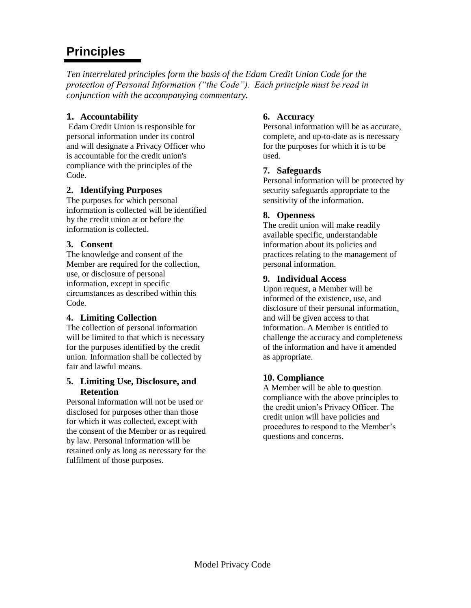# **Principles**

*Ten interrelated principles form the basis of the Edam Credit Union Code for the protection of Personal Information ("the Code"). Each principle must be read in conjunction with the accompanying commentary.*

## **1. Accountability**

Edam Credit Union is responsible for personal information under its control and will designate a Privacy Officer who is accountable for the credit union's compliance with the principles of the Code.

## **2. Identifying Purposes**

The purposes for which personal information is collected will be identified by the credit union at or before the information is collected.

## **3. Consent**

The knowledge and consent of the Member are required for the collection, use, or disclosure of personal information, except in specific circumstances as described within this Code.

## **4. Limiting Collection**

The collection of personal information will be limited to that which is necessary for the purposes identified by the credit union. Information shall be collected by fair and lawful means.

#### **5. Limiting Use, Disclosure, and Retention**

Personal information will not be used or disclosed for purposes other than those for which it was collected, except with the consent of the Member or as required by law. Personal information will be retained only as long as necessary for the fulfilment of those purposes.

#### **6. Accuracy**

Personal information will be as accurate, complete, and up-to-date as is necessary for the purposes for which it is to be used.

## **7. Safeguards**

Personal information will be protected by security safeguards appropriate to the sensitivity of the information.

## **8. Openness**

The credit union will make readily available specific, understandable information about its policies and practices relating to the management of personal information.

## **9. Individual Access**

Upon request, a Member will be informed of the existence, use, and disclosure of their personal information, and will be given access to that information. A Member is entitled to challenge the accuracy and completeness of the information and have it amended as appropriate.

## **10. Compliance**

A Member will be able to question compliance with the above principles to the credit union's Privacy Officer. The credit union will have policies and procedures to respond to the Member's questions and concerns.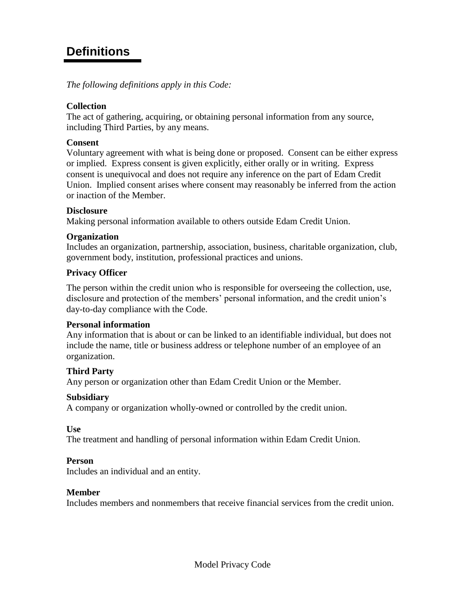## **Definitions**

*The following definitions apply in this Code:*

#### **Collection**

The act of gathering, acquiring, or obtaining personal information from any source, including Third Parties, by any means.

#### **Consent**

Voluntary agreement with what is being done or proposed. Consent can be either express or implied. Express consent is given explicitly, either orally or in writing. Express consent is unequivocal and does not require any inference on the part of Edam Credit Union. Implied consent arises where consent may reasonably be inferred from the action or inaction of the Member.

#### **Disclosure**

Making personal information available to others outside Edam Credit Union.

#### **Organization**

Includes an organization, partnership, association, business, charitable organization, club, government body, institution, professional practices and unions.

#### **Privacy Officer**

The person within the credit union who is responsible for overseeing the collection, use, disclosure and protection of the members' personal information, and the credit union's day-to-day compliance with the Code.

#### **Personal information**

Any information that is about or can be linked to an identifiable individual, but does not include the name, title or business address or telephone number of an employee of an organization.

#### **Third Party**

Any person or organization other than Edam Credit Union or the Member.

#### **Subsidiary**

A company or organization wholly-owned or controlled by the credit union.

**Use**

The treatment and handling of personal information within Edam Credit Union.

#### **Person**

Includes an individual and an entity.

#### **Member**

Includes members and nonmembers that receive financial services from the credit union.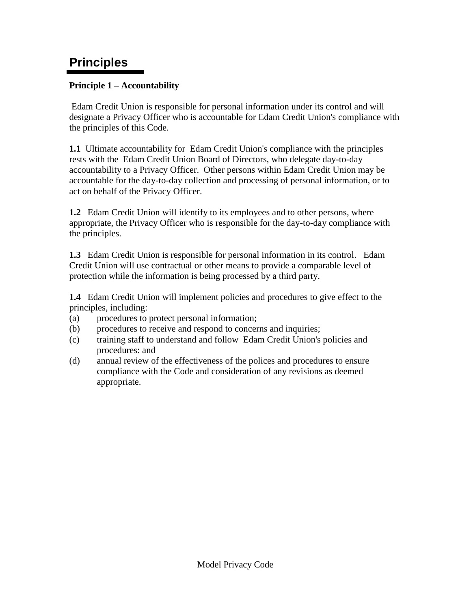## **Principles**

## **Principle 1 – Accountability**

Edam Credit Union is responsible for personal information under its control and will designate a Privacy Officer who is accountable for Edam Credit Union's compliance with the principles of this Code.

**1.1** Ultimate accountability for Edam Credit Union's compliance with the principles rests with the Edam Credit Union Board of Directors, who delegate day-to-day accountability to a Privacy Officer. Other persons within Edam Credit Union may be accountable for the day-to-day collection and processing of personal information, or to act on behalf of the Privacy Officer.

**1.2** Edam Credit Union will identify to its employees and to other persons, where appropriate, the Privacy Officer who is responsible for the day-to-day compliance with the principles.

**1.3** Edam Credit Union is responsible for personal information in its control. Edam Credit Union will use contractual or other means to provide a comparable level of protection while the information is being processed by a third party.

**1.4** Edam Credit Union will implement policies and procedures to give effect to the principles, including:

- (a) procedures to protect personal information;
- (b) procedures to receive and respond to concerns and inquiries;
- (c) training staff to understand and follow Edam Credit Union's policies and procedures: and
- (d) annual review of the effectiveness of the polices and procedures to ensure compliance with the Code and consideration of any revisions as deemed appropriate.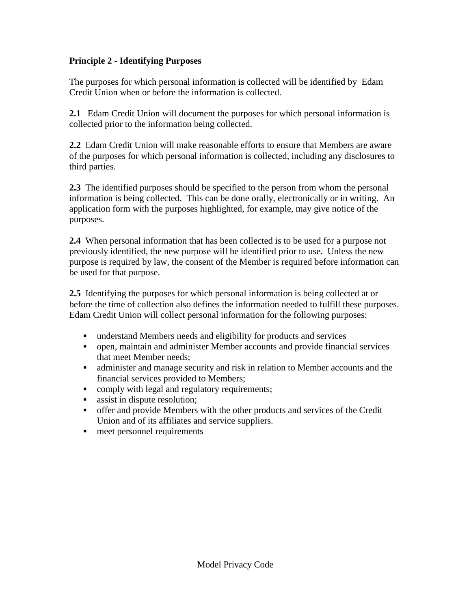## **Principle 2 - Identifying Purposes**

The purposes for which personal information is collected will be identified by Edam Credit Union when or before the information is collected.

**2.1** Edam Credit Union will document the purposes for which personal information is collected prior to the information being collected.

**2.2** Edam Credit Union will make reasonable efforts to ensure that Members are aware of the purposes for which personal information is collected, including any disclosures to third parties.

**2.3** The identified purposes should be specified to the person from whom the personal information is being collected. This can be done orally, electronically or in writing. An application form with the purposes highlighted, for example, may give notice of the purposes.

**2.4** When personal information that has been collected is to be used for a purpose not previously identified, the new purpose will be identified prior to use. Unless the new purpose is required by law, the consent of the Member is required before information can be used for that purpose.

**2.5** Identifying the purposes for which personal information is being collected at or before the time of collection also defines the information needed to fulfill these purposes. Edam Credit Union will collect personal information for the following purposes:

- understand Members needs and eligibility for products and services
- open, maintain and administer Member accounts and provide financial services that meet Member needs;
- administer and manage security and risk in relation to Member accounts and the financial services provided to Members;
- comply with legal and regulatory requirements;
- **assist in dispute resolution;**
- offer and provide Members with the other products and services of the Credit Union and of its affiliates and service suppliers.
- meet personnel requirements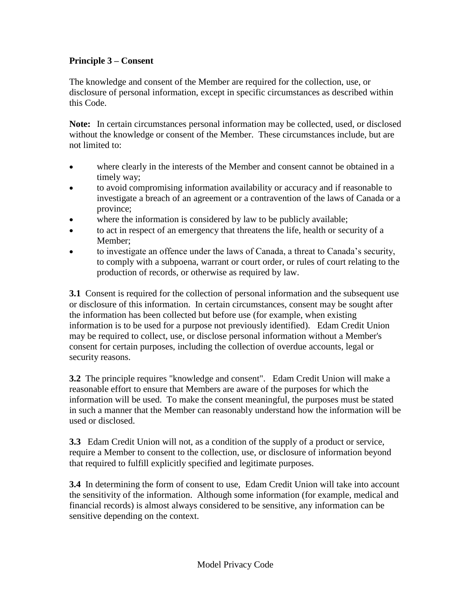## **Principle 3 – Consent**

The knowledge and consent of the Member are required for the collection, use, or disclosure of personal information, except in specific circumstances as described within this Code.

**Note:** In certain circumstances personal information may be collected, used, or disclosed without the knowledge or consent of the Member. These circumstances include, but are not limited to:

- where clearly in the interests of the Member and consent cannot be obtained in a timely way;
- to avoid compromising information availability or accuracy and if reasonable to investigate a breach of an agreement or a contravention of the laws of Canada or a province;
- where the information is considered by law to be publicly available;
- to act in respect of an emergency that threatens the life, health or security of a Member;
- to investigate an offence under the laws of Canada, a threat to Canada's security, to comply with a subpoena, warrant or court order, or rules of court relating to the production of records, or otherwise as required by law.

**3.1** Consent is required for the collection of personal information and the subsequent use or disclosure of this information. In certain circumstances, consent may be sought after the information has been collected but before use (for example, when existing information is to be used for a purpose not previously identified). Edam Credit Union may be required to collect, use, or disclose personal information without a Member's consent for certain purposes, including the collection of overdue accounts, legal or security reasons.

**3.2** The principle requires "knowledge and consent". Edam Credit Union will make a reasonable effort to ensure that Members are aware of the purposes for which the information will be used. To make the consent meaningful, the purposes must be stated in such a manner that the Member can reasonably understand how the information will be used or disclosed.

**3.3** Edam Credit Union will not, as a condition of the supply of a product or service, require a Member to consent to the collection, use, or disclosure of information beyond that required to fulfill explicitly specified and legitimate purposes.

**3.4** In determining the form of consent to use, Edam Credit Union will take into account the sensitivity of the information. Although some information (for example, medical and financial records) is almost always considered to be sensitive, any information can be sensitive depending on the context.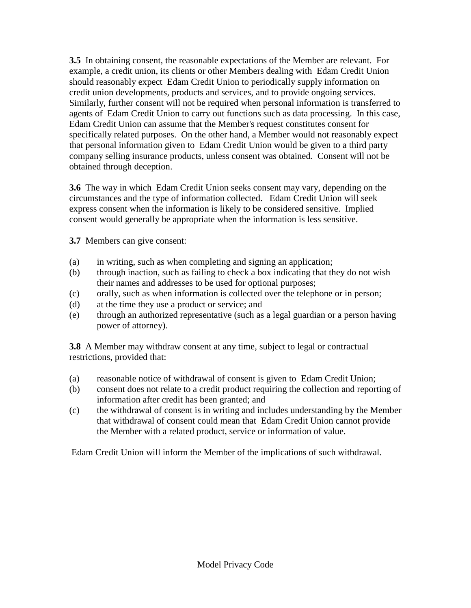**3.5** In obtaining consent, the reasonable expectations of the Member are relevant. For example, a credit union, its clients or other Members dealing with Edam Credit Union should reasonably expect Edam Credit Union to periodically supply information on credit union developments, products and services, and to provide ongoing services. Similarly, further consent will not be required when personal information is transferred to agents of Edam Credit Union to carry out functions such as data processing. In this case, Edam Credit Union can assume that the Member's request constitutes consent for specifically related purposes. On the other hand, a Member would not reasonably expect that personal information given to Edam Credit Union would be given to a third party company selling insurance products, unless consent was obtained. Consent will not be obtained through deception.

**3.6** The way in which Edam Credit Union seeks consent may vary, depending on the circumstances and the type of information collected. Edam Credit Union will seek express consent when the information is likely to be considered sensitive. Implied consent would generally be appropriate when the information is less sensitive.

**3.7** Members can give consent:

- (a) in writing, such as when completing and signing an application;
- (b) through inaction, such as failing to check a box indicating that they do not wish their names and addresses to be used for optional purposes;
- (c) orally, such as when information is collected over the telephone or in person;
- (d) at the time they use a product or service; and
- (e) through an authorized representative (such as a legal guardian or a person having power of attorney).

**3.8** A Member may withdraw consent at any time, subject to legal or contractual restrictions, provided that:

- (a) reasonable notice of withdrawal of consent is given to Edam Credit Union;
- (b) consent does not relate to a credit product requiring the collection and reporting of information after credit has been granted; and
- (c) the withdrawal of consent is in writing and includes understanding by the Member that withdrawal of consent could mean that Edam Credit Union cannot provide the Member with a related product, service or information of value.

Edam Credit Union will inform the Member of the implications of such withdrawal.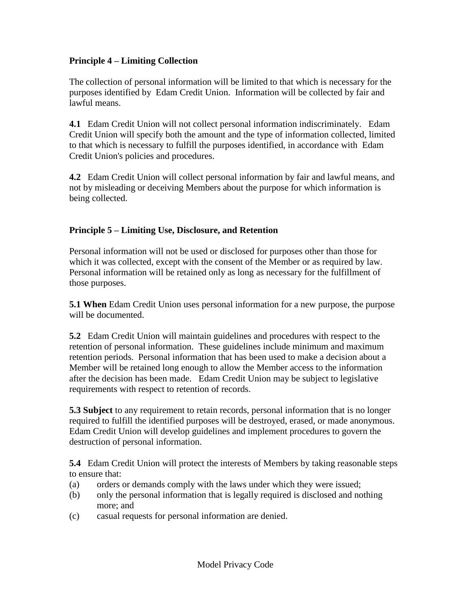## **Principle 4 – Limiting Collection**

The collection of personal information will be limited to that which is necessary for the purposes identified by Edam Credit Union. Information will be collected by fair and lawful means.

**4.1** Edam Credit Union will not collect personal information indiscriminately. Edam Credit Union will specify both the amount and the type of information collected, limited to that which is necessary to fulfill the purposes identified, in accordance with Edam Credit Union's policies and procedures.

**4.2** Edam Credit Union will collect personal information by fair and lawful means, and not by misleading or deceiving Members about the purpose for which information is being collected.

## **Principle 5 – Limiting Use, Disclosure, and Retention**

Personal information will not be used or disclosed for purposes other than those for which it was collected, except with the consent of the Member or as required by law. Personal information will be retained only as long as necessary for the fulfillment of those purposes.

**5.1 When** Edam Credit Union uses personal information for a new purpose, the purpose will be documented.

**5.2** Edam Credit Union will maintain guidelines and procedures with respect to the retention of personal information. These guidelines include minimum and maximum retention periods. Personal information that has been used to make a decision about a Member will be retained long enough to allow the Member access to the information after the decision has been made. Edam Credit Union may be subject to legislative requirements with respect to retention of records.

**5.3 Subject** to any requirement to retain records, personal information that is no longer required to fulfill the identified purposes will be destroyed, erased, or made anonymous. Edam Credit Union will develop guidelines and implement procedures to govern the destruction of personal information.

**5.4** Edam Credit Union will protect the interests of Members by taking reasonable steps to ensure that:

- (a) orders or demands comply with the laws under which they were issued;
- (b) only the personal information that is legally required is disclosed and nothing more; and
- (c) casual requests for personal information are denied.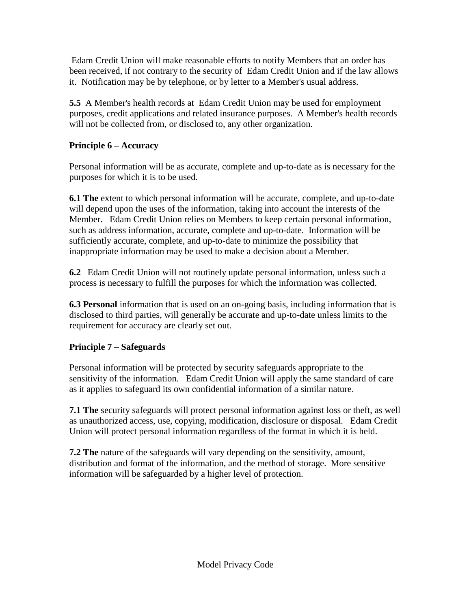Edam Credit Union will make reasonable efforts to notify Members that an order has been received, if not contrary to the security of Edam Credit Union and if the law allows it. Notification may be by telephone, or by letter to a Member's usual address.

**5.5** A Member's health records at Edam Credit Union may be used for employment purposes, credit applications and related insurance purposes. A Member's health records will not be collected from, or disclosed to, any other organization.

## **Principle 6 – Accuracy**

Personal information will be as accurate, complete and up-to-date as is necessary for the purposes for which it is to be used.

**6.1 The** extent to which personal information will be accurate, complete, and up-to-date will depend upon the uses of the information, taking into account the interests of the Member. Edam Credit Union relies on Members to keep certain personal information, such as address information, accurate, complete and up-to-date. Information will be sufficiently accurate, complete, and up-to-date to minimize the possibility that inappropriate information may be used to make a decision about a Member.

**6.2** Edam Credit Union will not routinely update personal information, unless such a process is necessary to fulfill the purposes for which the information was collected.

**6.3 Personal** information that is used on an on-going basis, including information that is disclosed to third parties, will generally be accurate and up-to-date unless limits to the requirement for accuracy are clearly set out.

## **Principle 7 – Safeguards**

Personal information will be protected by security safeguards appropriate to the sensitivity of the information. Edam Credit Union will apply the same standard of care as it applies to safeguard its own confidential information of a similar nature.

**7.1 The** security safeguards will protect personal information against loss or theft, as well as unauthorized access, use, copying, modification, disclosure or disposal. Edam Credit Union will protect personal information regardless of the format in which it is held.

**7.2 The** nature of the safeguards will vary depending on the sensitivity, amount, distribution and format of the information, and the method of storage. More sensitive information will be safeguarded by a higher level of protection.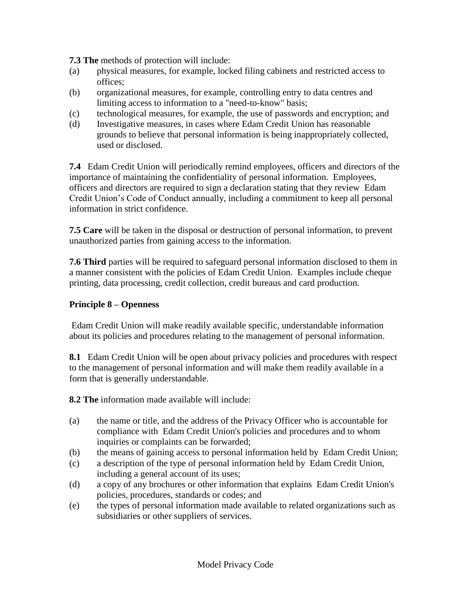**7.3 The** methods of protection will include:

- (a) physical measures, for example, locked filing cabinets and restricted access to offices;
- (b) organizational measures, for example, controlling entry to data centres and limiting access to information to a "need-to-know" basis;
- (c) technological measures, for example, the use of passwords and encryption; and
- (d) Investigative measures, in cases where Edam Credit Union has reasonable grounds to believe that personal information is being inappropriately collected, used or disclosed.

**7.4** Edam Credit Union will periodically remind employees, officers and directors of the importance of maintaining the confidentiality of personal information. Employees, officers and directors are required to sign a declaration stating that they review Edam Credit Union's Code of Conduct annually, including a commitment to keep all personal information in strict confidence.

**7.5 Care** will be taken in the disposal or destruction of personal information, to prevent unauthorized parties from gaining access to the information.

**7.6 Third** parties will be required to safeguard personal information disclosed to them in a manner consistent with the policies of Edam Credit Union. Examples include cheque printing, data processing, credit collection, credit bureaus and card production.

#### **Principle 8 – Openness**

Edam Credit Union will make readily available specific, understandable information about its policies and procedures relating to the management of personal information.

**8.1** Edam Credit Union will be open about privacy policies and procedures with respect to the management of personal information and will make them readily available in a form that is generally understandable.

**8.2 The** information made available will include:

- (a) the name or title, and the address of the Privacy Officer who is accountable for compliance with Edam Credit Union's policies and procedures and to whom inquiries or complaints can be forwarded;
- (b) the means of gaining access to personal information held by Edam Credit Union;
- (c) a description of the type of personal information held by Edam Credit Union, including a general account of its uses;
- (d) a copy of any brochures or other information that explains Edam Credit Union's policies, procedures, standards or codes; and
- (e) the types of personal information made available to related organizations such as subsidiaries or other suppliers of services.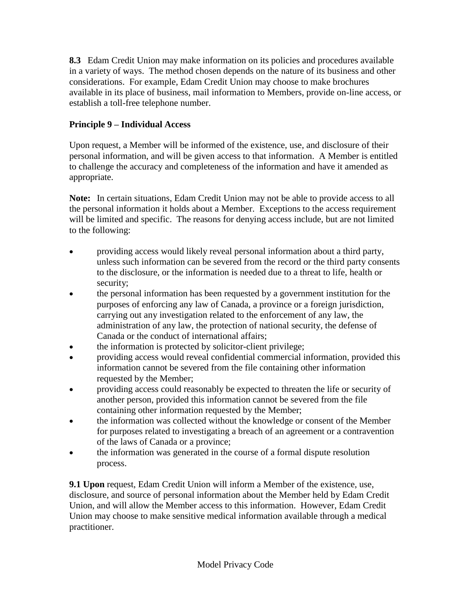**8.3** Edam Credit Union may make information on its policies and procedures available in a variety of ways. The method chosen depends on the nature of its business and other considerations. For example, Edam Credit Union may choose to make brochures available in its place of business, mail information to Members, provide on-line access, or establish a toll-free telephone number.

## **Principle 9 – Individual Access**

Upon request, a Member will be informed of the existence, use, and disclosure of their personal information, and will be given access to that information. A Member is entitled to challenge the accuracy and completeness of the information and have it amended as appropriate.

**Note:** In certain situations, Edam Credit Union may not be able to provide access to all the personal information it holds about a Member. Exceptions to the access requirement will be limited and specific. The reasons for denying access include, but are not limited to the following:

- providing access would likely reveal personal information about a third party, unless such information can be severed from the record or the third party consents to the disclosure, or the information is needed due to a threat to life, health or security;
- the personal information has been requested by a government institution for the purposes of enforcing any law of Canada, a province or a foreign jurisdiction, carrying out any investigation related to the enforcement of any law, the administration of any law, the protection of national security, the defense of Canada or the conduct of international affairs;
- the information is protected by solicitor-client privilege;
- providing access would reveal confidential commercial information, provided this information cannot be severed from the file containing other information requested by the Member;
- providing access could reasonably be expected to threaten the life or security of another person, provided this information cannot be severed from the file containing other information requested by the Member;
- the information was collected without the knowledge or consent of the Member for purposes related to investigating a breach of an agreement or a contravention of the laws of Canada or a province;
- the information was generated in the course of a formal dispute resolution process.

**9.1 Upon** request, Edam Credit Union will inform a Member of the existence, use, disclosure, and source of personal information about the Member held by Edam Credit Union, and will allow the Member access to this information. However, Edam Credit Union may choose to make sensitive medical information available through a medical practitioner.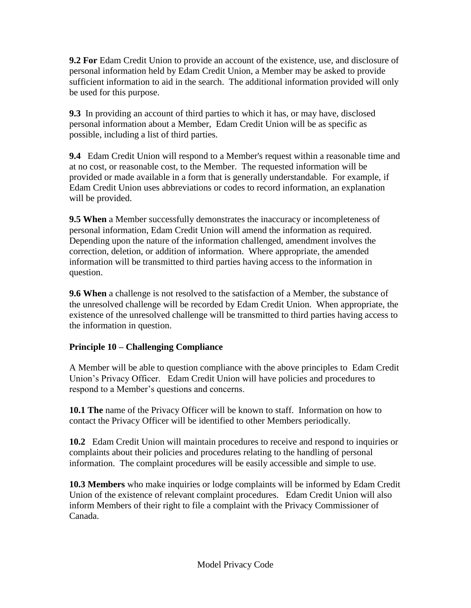**9.2 For** Edam Credit Union to provide an account of the existence, use, and disclosure of personal information held by Edam Credit Union, a Member may be asked to provide sufficient information to aid in the search. The additional information provided will only be used for this purpose.

**9.3** In providing an account of third parties to which it has, or may have, disclosed personal information about a Member, Edam Credit Union will be as specific as possible, including a list of third parties.

**9.4** Edam Credit Union will respond to a Member's request within a reasonable time and at no cost, or reasonable cost, to the Member. The requested information will be provided or made available in a form that is generally understandable. For example, if Edam Credit Union uses abbreviations or codes to record information, an explanation will be provided.

**9.5 When** a Member successfully demonstrates the inaccuracy or incompleteness of personal information, Edam Credit Union will amend the information as required. Depending upon the nature of the information challenged, amendment involves the correction, deletion, or addition of information. Where appropriate, the amended information will be transmitted to third parties having access to the information in question.

**9.6 When** a challenge is not resolved to the satisfaction of a Member, the substance of the unresolved challenge will be recorded by Edam Credit Union. When appropriate, the existence of the unresolved challenge will be transmitted to third parties having access to the information in question.

## **Principle 10 – Challenging Compliance**

A Member will be able to question compliance with the above principles to Edam Credit Union's Privacy Officer. Edam Credit Union will have policies and procedures to respond to a Member's questions and concerns.

**10.1 The** name of the Privacy Officer will be known to staff. Information on how to contact the Privacy Officer will be identified to other Members periodically.

**10.2** Edam Credit Union will maintain procedures to receive and respond to inquiries or complaints about their policies and procedures relating to the handling of personal information. The complaint procedures will be easily accessible and simple to use.

**10.3 Members** who make inquiries or lodge complaints will be informed by Edam Credit Union of the existence of relevant complaint procedures. Edam Credit Union will also inform Members of their right to file a complaint with the Privacy Commissioner of Canada.